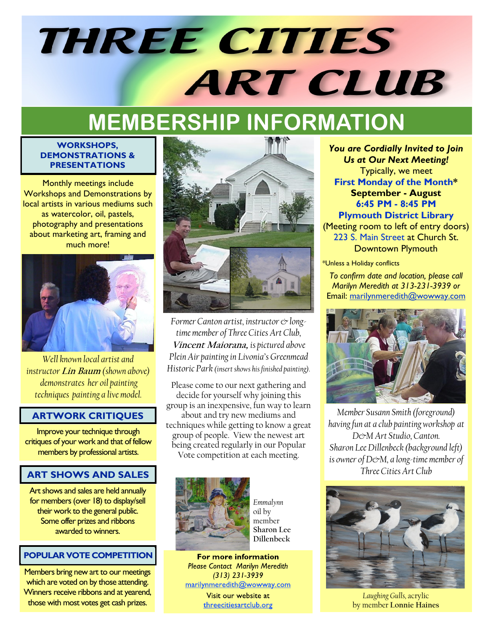# **THREE CITIES ART CLUB**

# **MEMBERSHIP INFORMATION**

#### **WORKSHOPS, DEMONSTRATIONS & PRESENTATIONS**

Monthly meetings include Workshops and Demonstrations by local artists in various mediums such as watercolor, oil, pastels, photography and presentations about marketing art, framing and much more!



*Well known local artist and instructor* **Lin Baum** *(shown above) demonstrates her oil painting techniques painting a live model.* 

#### **ARTWORK CRITIQUES**

Improve your technique through critiques of your work and that of fellow members by professional artists.

#### **ART SHOWS AND SALES**

Art shows and sales are held annually for members (over 18) to display/sell their work to the general public. Some offer prizes and ribbons awarded to winners.

#### **POPULAR VOTE COMPETITION**

Members bring new art to our meetings which are voted on by those attending. Winners receive ribbons and at yearend, those with most votes get cash prizes.



*Former Canton artist, instructor & longtime member of Three Cities Art Club,*  **Vincent Maiorana,** *is pictured above Plein Air painting in Livonia's Greenmead Historic Park (insert shows his finished painting).* 

Please come to our next gathering and decide for yourself why joining this group is an inexpensive, fun way to learn about and try new mediums and techniques while getting to know a great group of people. View the newest art being created regularly in our Popular Vote competition at each meeting.



*Emmalynn* oil by member **Sharon Lee Dillenbeck**

For more information **Please Contact Marilyn Meredith**  $(313)$  231-3939 marilynmeredith@wowway.com

> Visit our website at threecitiesartclub.org

*You are Cordially Invited to Join Us at Our Next Meeting!* Typically, we meet **First Monday of the Month\* September - August 6:45 PM - 8:45 PM Plymouth District Library**

(Meeting room to left of entry doors) 223 S. Main Street at Church St. Downtown Plymouth

\*Unless a Holiday conflicts

*To confirm date and location, please call Marilyn Meredith at 313-231-3939 or* Email: marilynmeredith@wowway.com



*Member Susann Smith (foreground) having fun at a club painting workshop at D&M Art Studio, Canton. Sharon Lee Dillenbeck (background left) is owner of D&M, a long-time member of Three Cities Art Club* 



*Laughing Gulls,* acrylic by member **Lonnie Haines**